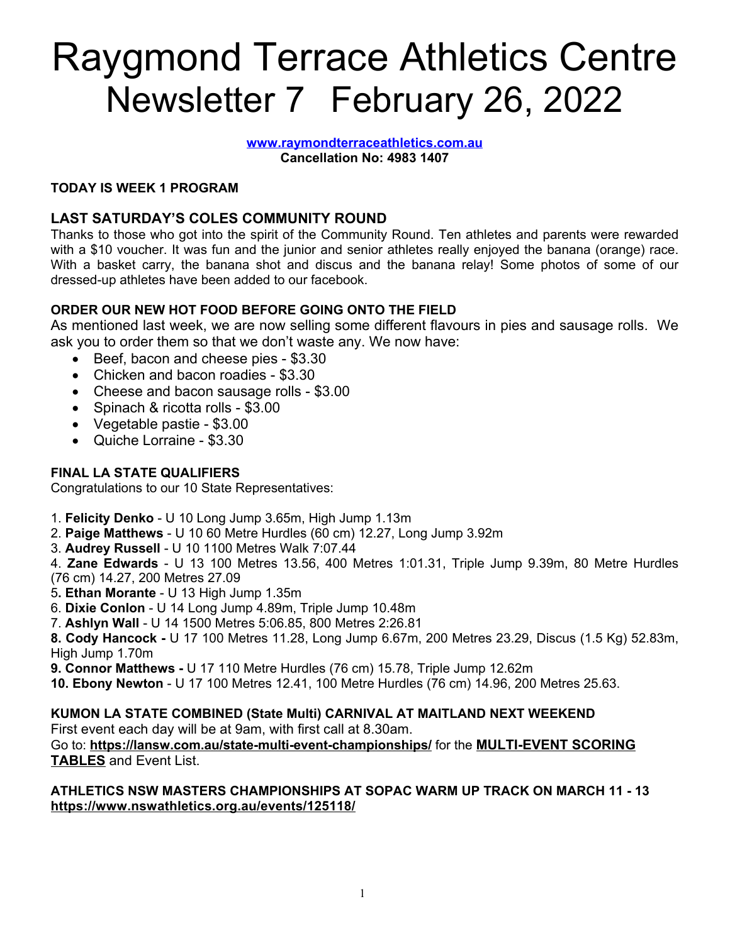### Raygmond Terrace Athletics Centre Newsletter 7 February 26, 2022

**[www.raymondterraceathletics.com.au](http://www.raymondterraceathletics.com.au) Cancellation No: 4983 1407**

#### **TODAY IS WEEK 1 PROGRAM**

#### **LAST SATURDAY'S COLES COMMUNITY ROUND**

Thanks to those who got into the spirit of the Community Round. Ten athletes and parents were rewarded with a \$10 voucher. It was fun and the junior and senior athletes really enjoyed the banana (orange) race. With a basket carry, the banana shot and discus and the banana relay! Some photos of some of our dressed-up athletes have been added to our facebook.

#### **ORDER OUR NEW HOT FOOD BEFORE GOING ONTO THE FIELD**

As mentioned last week, we are now selling some different flavours in pies and sausage rolls. We ask you to order them so that we don't waste any. We now have:

- Beef, bacon and cheese pies \$3.30
- Chicken and bacon roadies \$3.30
- Cheese and bacon sausage rolls \$3.00
- Spinach & ricotta rolls \$3.00
- Vegetable pastie \$3.00
- Quiche Lorraine \$3.30

#### **FINAL LA STATE QUALIFIERS**

Congratulations to our 10 State Representatives:

- 1. **Felicity Denko** U 10 Long Jump 3.65m, High Jump 1.13m
- 2. **Paige Matthews** U 10 60 Metre Hurdles (60 cm) 12.27, Long Jump 3.92m
- 3. **Audrey Russell** U 10 1100 Metres Walk 7:07.44

4. **Zane Edwards** - U 13 100 Metres 13.56, 400 Metres 1:01.31, Triple Jump 9.39m, 80 Metre Hurdles (76 cm) 14.27, 200 Metres 27.09

- 5**. Ethan Morante** U 13 High Jump 1.35m
- 6. **Dixie Conlon** U 14 Long Jump 4.89m, Triple Jump 10.48m
- 7. **Ashlyn Wall** U 14 1500 Metres 5:06.85, 800 Metres 2:26.81

**8. Cody Hancock -** U 17 100 Metres 11.28, Long Jump 6.67m, 200 Metres 23.29, Discus (1.5 Kg) 52.83m, High Jump 1.70m

**9. Connor Matthews -** U 17 110 Metre Hurdles (76 cm) 15.78, Triple Jump 12.62m

**10. Ebony Newton** - U 17 100 Metres 12.41, 100 Metre Hurdles (76 cm) 14.96, 200 Metres 25.63.

#### **KUMON LA STATE COMBINED (State Multi) CARNIVAL AT MAITLAND NEXT WEEKEND**

First event each day will be at 9am, with first call at 8.30am.

Go to: **<https://lansw.com.au/state-multi-event-championships/>** for the **[MULTI-EVENT](http://lansw.com.au/multi-event-scoring-tables/) SCORING [TABLES](http://lansw.com.au/multi-event-scoring-tables/)** and Event List.

#### **ATHLETICS NSW MASTERS CHAMPIONSHIPS AT SOPAC WARM UP TRACK ON MARCH 11 - 13 [https://www.nswathletics.org.au/events/125118/](https://www.google.com/url?q=https://www.nswathletics.org.au/events/125118/&sa=D&source=calendar&usd=2&usg=AOvVaw3VGnXsyb9c9od359QW3EP1)**